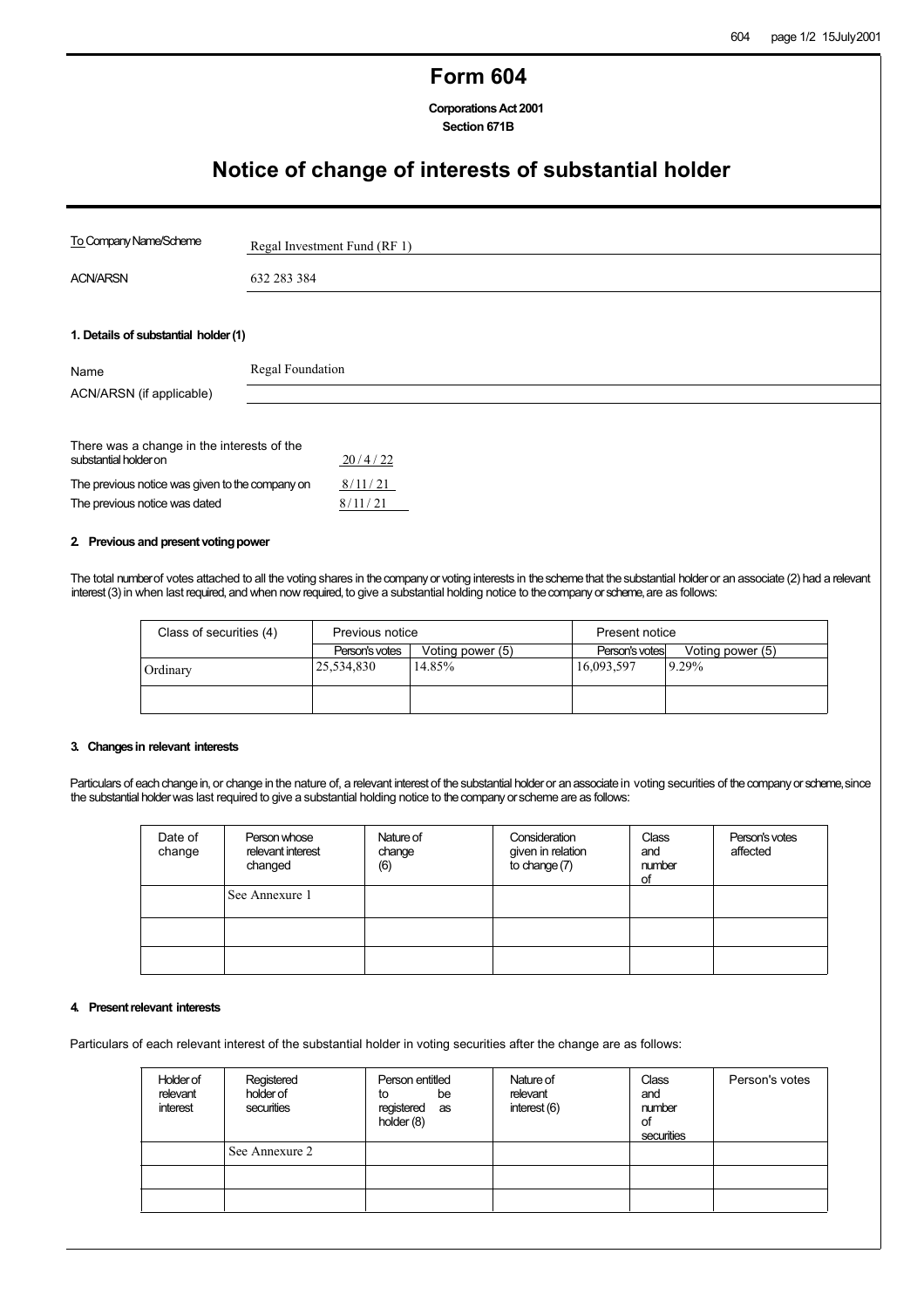### **Form 604**

**CorporationsAct2001 Section 671B**

# **Notice of change of interests of substantial holder**

| To Company Name/Scheme                                              | Regal Investment Fund (RF 1) |         |
|---------------------------------------------------------------------|------------------------------|---------|
| <b>ACN/ARSN</b>                                                     | 632 283 384                  |         |
|                                                                     |                              |         |
| 1. Details of substantial holder (1)                                |                              |         |
| Name                                                                | Regal Foundation             |         |
| ACN/ARSN (if applicable)                                            |                              |         |
|                                                                     |                              |         |
| There was a change in the interests of the<br>substantial holder on |                              | 20/4/22 |
| The previous notice was given to the company on                     |                              | 8/11/21 |
| The previous notice was dated                                       |                              | 8/11/21 |

### **2** Previous and present voting power

The total number of votes attached to all the voting shares in the company or voting interests in the scheme that the substantial holder or an associate (2) had a relevant interest (3) in when last required, and when now required, to give a substantial holding notice to thecompany or scheme, are as follows:

| Class of securities (4) | Previous notice |                  | Present notice |                  |
|-------------------------|-----------------|------------------|----------------|------------------|
|                         | Person's votes  | Voting power (5) | Person's votes | Voting power (5) |
| Ordinary                | 25,534,830      | 14.85%           | 16,093,597     | 9.29%            |
|                         |                 |                  |                |                  |

### **3. Changes in relevant interests**

Particulars of each change in, or change in the nature of, a relevant interest of the substantial holder or an associate in voting securities of the company or scheme, since the substantial holder was last required to give a substantial holding notice to thecompany or scheme are as follows:

| Date of<br>change | Person whose<br>relevant interest<br>changed | Nature of<br>change<br>(6) | Consideration<br>given in relation<br>to change (7) | Class<br>and<br>number<br>of | Person's votes<br>affected |
|-------------------|----------------------------------------------|----------------------------|-----------------------------------------------------|------------------------------|----------------------------|
|                   | See Annexure 1                               |                            |                                                     |                              |                            |
|                   |                                              |                            |                                                     |                              |                            |
|                   |                                              |                            |                                                     |                              |                            |

#### **4.** Present relevant interests

Particulars of each relevant interest of the substantial holder in voting securities after the change are as follows:

| Holder of<br>relevant<br>interest | Registered<br>holder of<br>securities | Person entitled<br>be<br>to<br>registered as<br>holder (8) | Nature of<br>relevant<br>interest (6) | Class<br>and<br>number<br>of<br>securities | Person's votes |
|-----------------------------------|---------------------------------------|------------------------------------------------------------|---------------------------------------|--------------------------------------------|----------------|
|                                   | See Annexure 2                        |                                                            |                                       |                                            |                |
|                                   |                                       |                                                            |                                       |                                            |                |
|                                   |                                       |                                                            |                                       |                                            |                |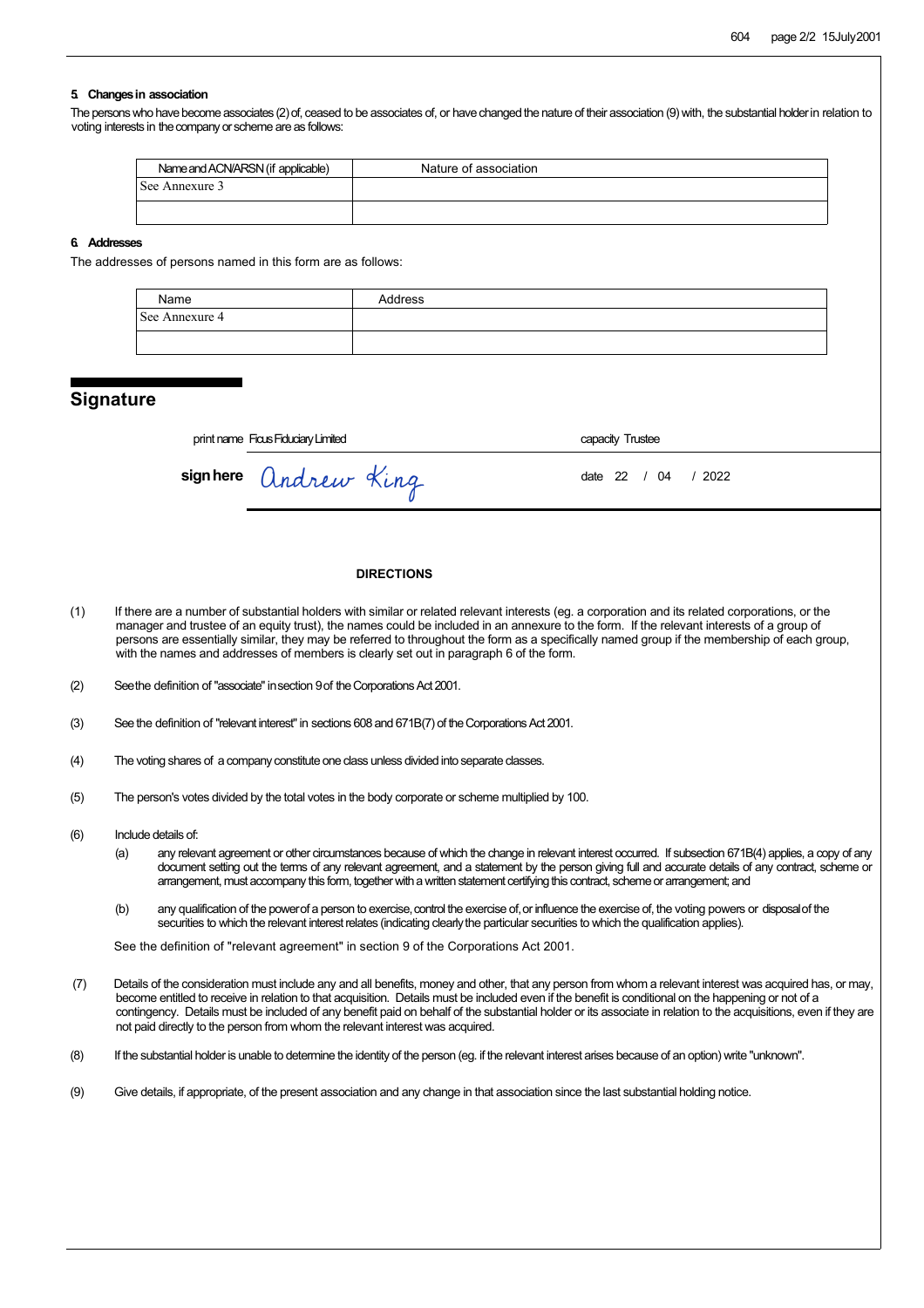### **5. Changes in association**

The persons who have become associates (2) of, ceased to be associates of, or have changed the nature of their association (9) with, the substantial holder in relation to voting interests in the company or scheme are as follows:

| Name and ACN/ARSN (if applicable) | Nature of association |
|-----------------------------------|-----------------------|
| See Annexure 3                    |                       |
|                                   |                       |

#### **6. Addresses**

The addresses of persons named in this form are as follows:

| Name           | Address |
|----------------|---------|
| See Annexure 4 |         |
|                |         |

### **Signature**

| print name Ficus Fiduciary Limited |                      | capacity Trustee    |  |
|------------------------------------|----------------------|---------------------|--|
|                                    | signhere andrew King | date 22 / 04 / 2022 |  |

#### **DIRECTIONS**

- (1) If there are a number of substantial holders with similar or related relevant interests (eg. a corporation and its related corporations, or the manager and trustee of an equity trust), the names could be included in an annexure to the form. If the relevant interests of a group of persons are essentially similar, they may be referred to throughout the form as a specifically named group if the membership of each group, with the names and addresses of members is clearly set out in paragraph 6 of the form.
- (2) Seethe definition of "associate"insection 9of the Corporations Act 2001.
- (3) See the definition of "relevant interest" in sections 608 and 671B(7) of the Corporations Act 2001.
- (4) The voting shares of a company constitute one class unless divided into separate classes.
- (5) The person's votes divided by the total votes in the body corporate or scheme multiplied by 100.
- (6) Include details of:
	- (a) any relevant agreement or other circumstances because of which the change in relevant interest occurred. If subsection 671B(4) applies, a copy of any document setting out the terms of any relevant agreement, and a statement by the person giving full and accurate details of any contract, scheme or arrangement, must accompany this form, together with a written statement certifying this contract, scheme or arrangement; and
	- (b) any qualification of the powerof a person to exercise, control the exercise of, or influence the exercise of, the voting powers or disposal of the securities to which the relevant interest relates (indicating clearlythe particular securities to which the qualification applies).

See the definition of "relevant agreement" in section 9 of the Corporations Act 2001.

- (7) Details of the consideration must include any and all benefits, money and other, that any person from whom a relevant interest was acquired has, or may, become entitled to receive in relation to that acquisition. Details must be included even if the benefit is conditional on the happening or not of a contingency. Details must be included of any benefit paid on behalf of the substantial holder or its associate in relation to the acquisitions, even if they are not paid directly to the person from whom the relevant interest was acquired.
- (8) If the substantial holder is unable to determine the identity of the person (eg. if the relevant interest arises because of an option) write "unknown".
- (9) Give details, if appropriate, of the present association and any change in that association since the last substantial holding notice.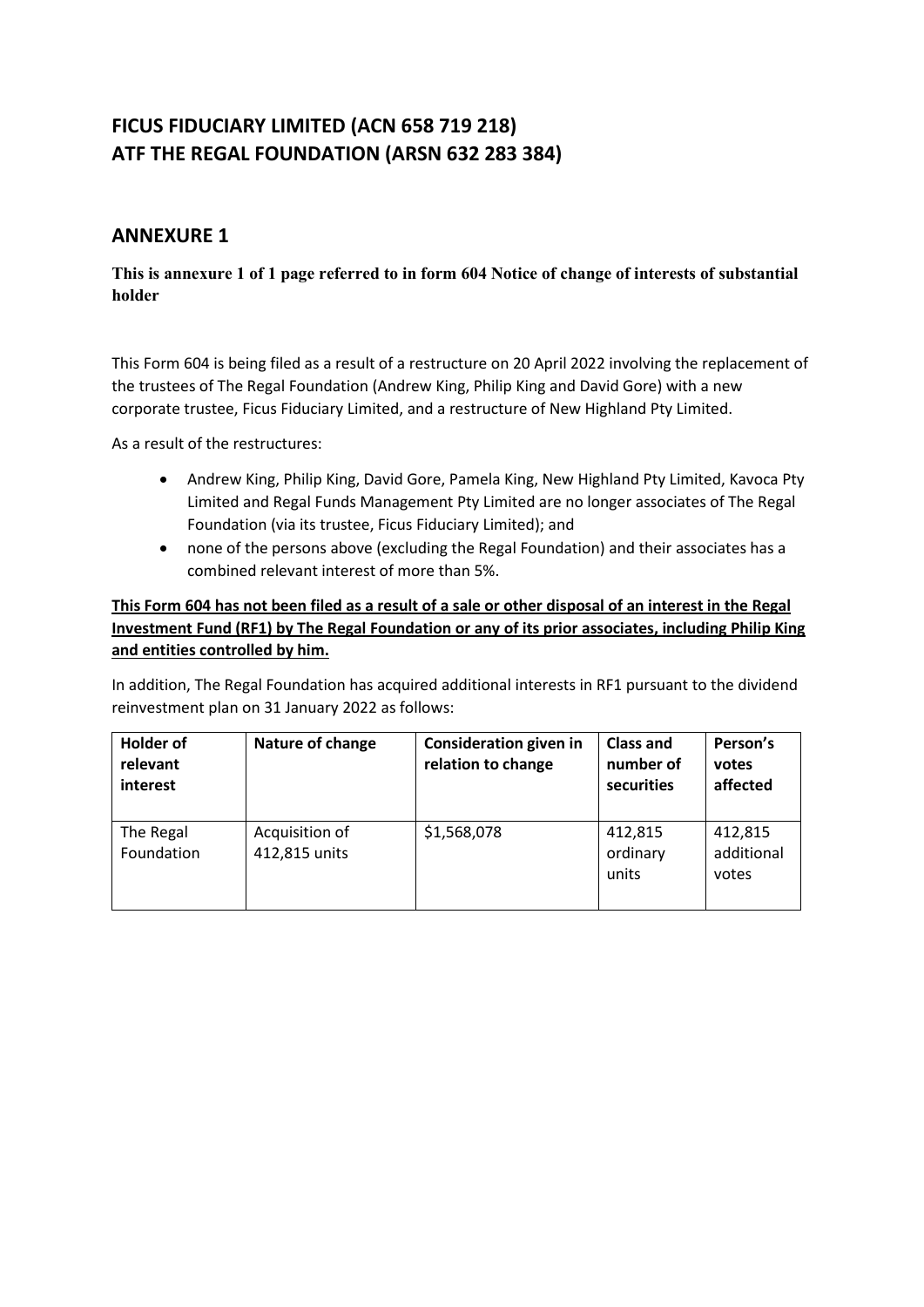## **ANNEXURE 1**

### **This is annexure 1 of 1 page referred to in form 604 Notice of change of interests of substantial holder**

This Form 604 is being filed as a result of a restructure on 20 April 2022 involving the replacement of the trustees of The Regal Foundation (Andrew King, Philip King and David Gore) with a new corporate trustee, Ficus Fiduciary Limited, and a restructure of New Highland Pty Limited.

As a result of the restructures:

- Andrew King, Philip King, David Gore, Pamela King, New Highland Pty Limited, Kavoca Pty Limited and Regal Funds Management Pty Limited are no longer associates of The Regal Foundation (via its trustee, Ficus Fiduciary Limited); and
- none of the persons above (excluding the Regal Foundation) and their associates has a combined relevant interest of more than 5%.

## **This Form 604 has not been filed as a result of a sale or other disposal of an interest in the Regal Investment Fund (RF1) by The Regal Foundation or any of its prior associates, including Philip King and entities controlled by him.**

In addition, The Regal Foundation has acquired additional interests in RF1 pursuant to the dividend reinvestment plan on 31 January 2022 as follows:

| <b>Holder of</b><br>relevant<br>interest | Nature of change                | <b>Consideration given in</b><br>relation to change | <b>Class and</b><br>number of<br>securities | Person's<br>votes<br>affected  |
|------------------------------------------|---------------------------------|-----------------------------------------------------|---------------------------------------------|--------------------------------|
| The Regal<br>Foundation                  | Acquisition of<br>412,815 units | \$1,568,078                                         | 412,815<br>ordinary<br>units                | 412,815<br>additional<br>votes |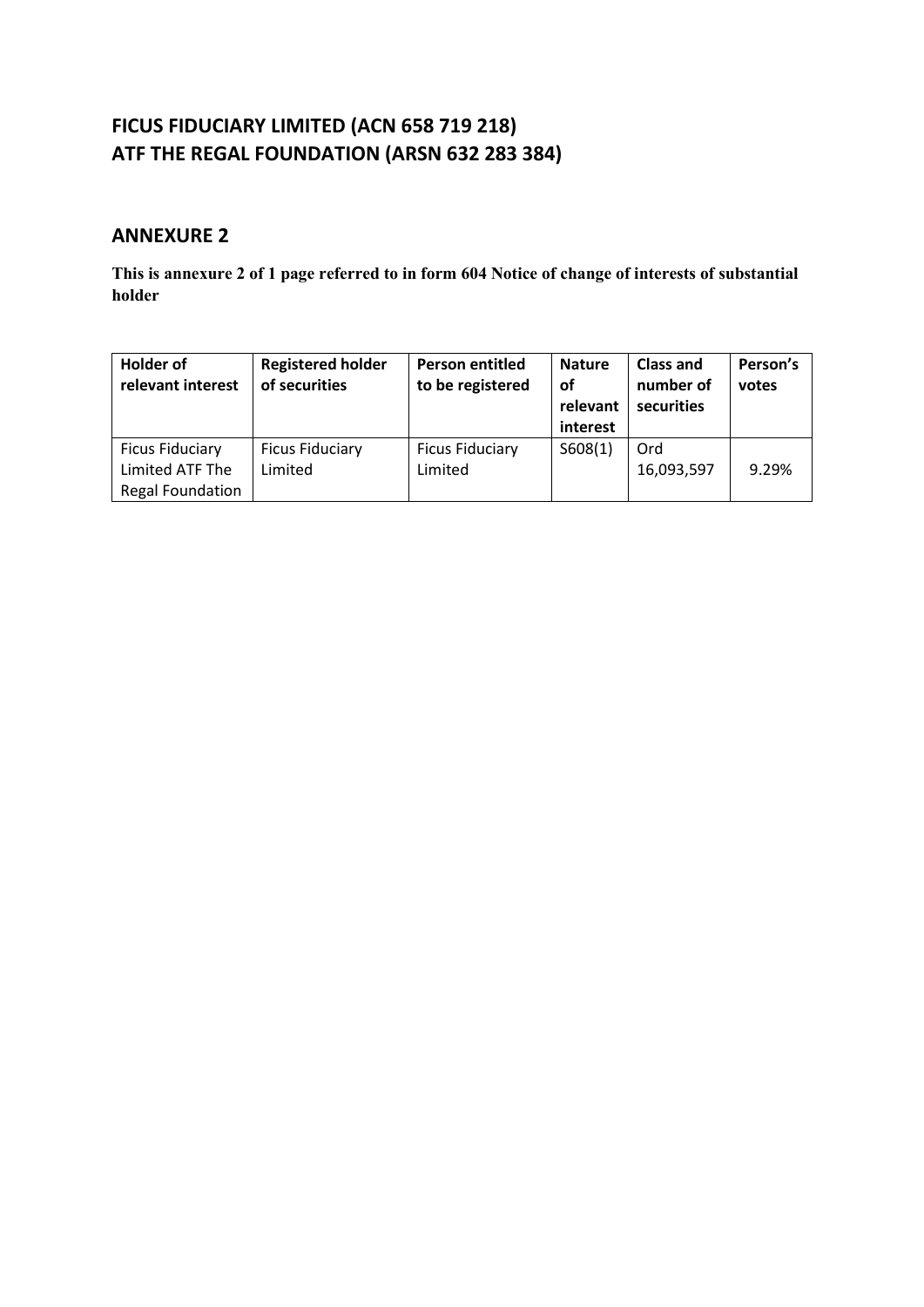## **ANNEXURE 2**

**This is annexure 2 of 1 page referred to in form 604 Notice of change of interests of substantial holder**

| <b>Holder of</b><br>relevant interest                                | <b>Registered holder</b><br>of securities | <b>Person entitled</b><br>to be registered | <b>Nature</b><br><b>of</b><br>relevant<br>interest | <b>Class and</b><br>number of<br>securities | Person's<br>votes |
|----------------------------------------------------------------------|-------------------------------------------|--------------------------------------------|----------------------------------------------------|---------------------------------------------|-------------------|
| <b>Ficus Fiduciary</b><br>Limited ATF The<br><b>Regal Foundation</b> | <b>Ficus Fiduciary</b><br>Limited         | <b>Ficus Fiduciary</b><br>Limited          | S608(1)                                            | Ord<br>16,093,597                           | 9.29%             |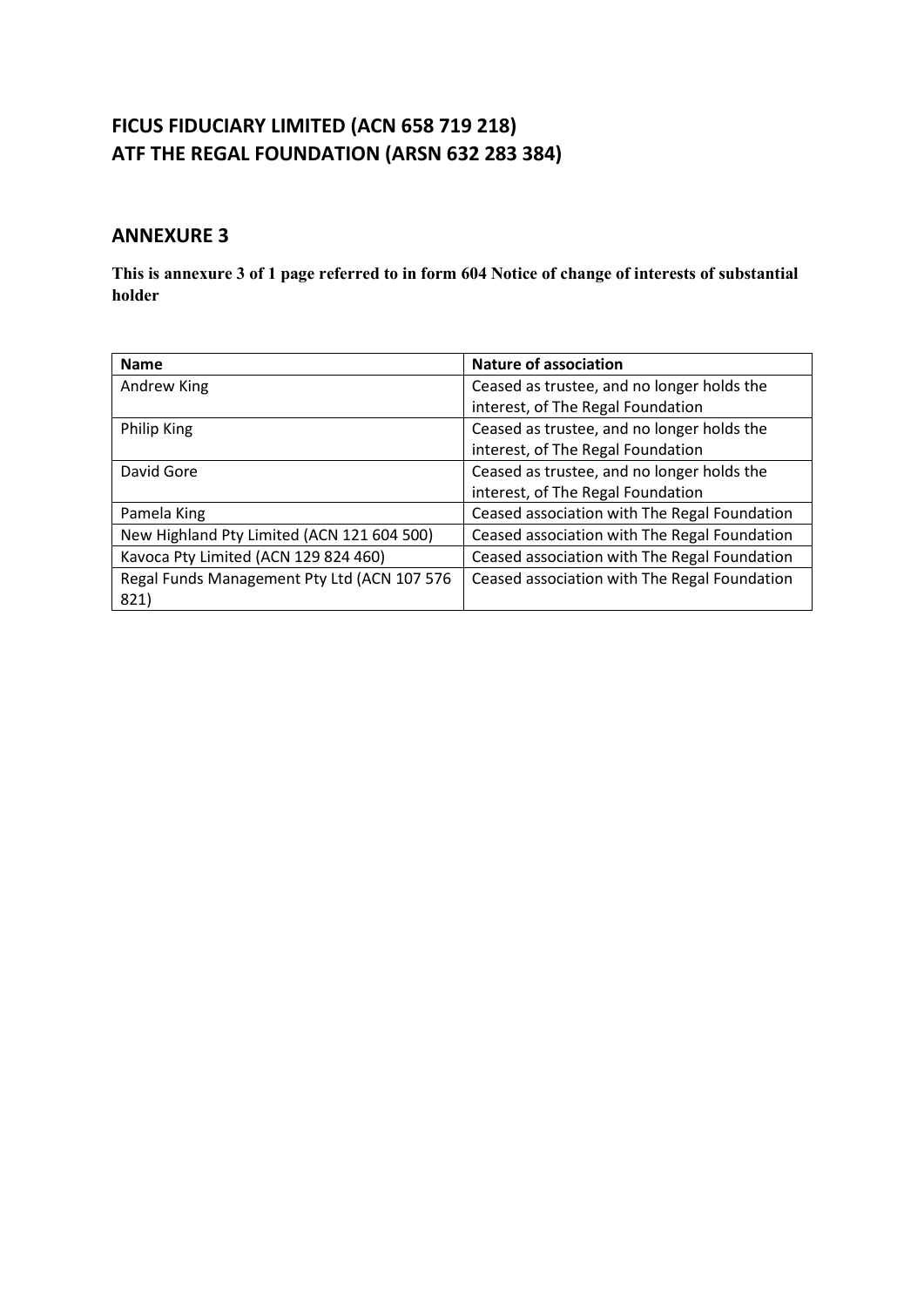## **ANNEXURE 3**

**This is annexure 3 of 1 page referred to in form 604 Notice of change of interests of substantial holder**

| <b>Name</b>                                 | <b>Nature of association</b>                 |
|---------------------------------------------|----------------------------------------------|
| Andrew King                                 | Ceased as trustee, and no longer holds the   |
|                                             | interest, of The Regal Foundation            |
| Philip King                                 | Ceased as trustee, and no longer holds the   |
|                                             | interest, of The Regal Foundation            |
| David Gore                                  | Ceased as trustee, and no longer holds the   |
|                                             | interest, of The Regal Foundation            |
| Pamela King                                 | Ceased association with The Regal Foundation |
| New Highland Pty Limited (ACN 121 604 500)  | Ceased association with The Regal Foundation |
| Kavoca Pty Limited (ACN 129 824 460)        | Ceased association with The Regal Foundation |
| Regal Funds Management Pty Ltd (ACN 107 576 | Ceased association with The Regal Foundation |
| 821)                                        |                                              |